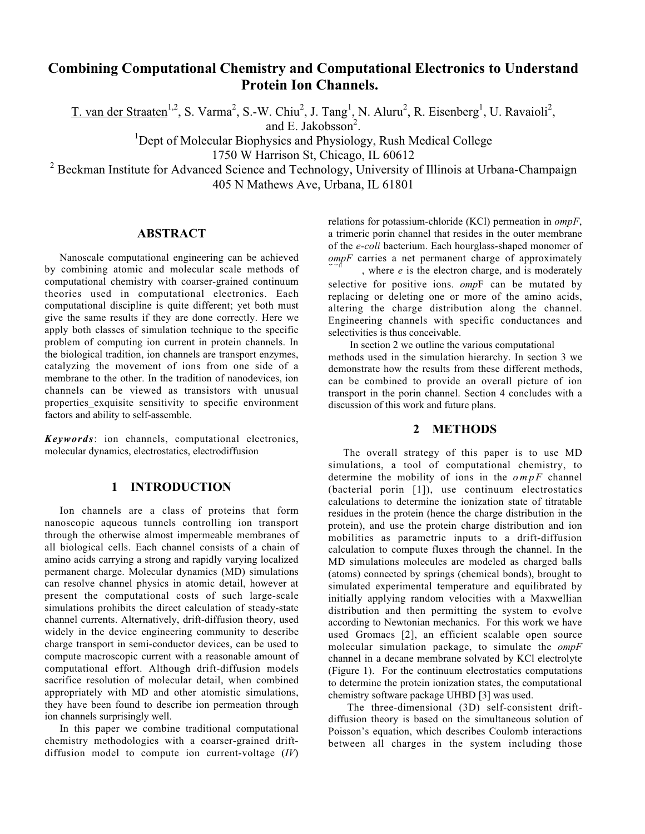# **Combining Computational Chemistry and Computational Electronics to Understand Protein Ion Channels.**

T. van der Straaten<sup>1,2</sup>, S. Varma<sup>2</sup>, S.-W. Chiu<sup>2</sup>, J. Tang<sup>1</sup>, N. Aluru<sup>2</sup>, R. Eisenberg<sup>1</sup>, U. Ravaioli<sup>2</sup>,

and E. Jakobsson $<sup>2</sup>$ .</sup>

and E. Jakobsson<sup>2</sup>.<br><sup>1</sup>Dept of Molecular Biophysics and Physiology, Rush Medical College

1750 W Harrison St, Chicago, IL 60612

<sup>2</sup> Beckman Institute for Advanced Science and Technology, University of Illinois at Urbana-Champaign 405 N Mathews Ave, Urbana, IL 61801

## **ABSTRACT**

Nanoscale computational engineering can be achieved by combining atomic and molecular scale methods of computational chemistry with coarser-grained continuum theories used in computational electronics. Each computational discipline is quite different; yet both must give the same results if they are done correctly. Here we apply both classes of simulation technique to the specific problem of computing ion current in protein channels. In the biological tradition, ion channels are transport enzymes, catalyzing the movement of ions from one side of a membrane to the other. In the tradition of nanodevices, ion channels can be viewed as transistors with unusual properties\_exquisite sensitivity to specific environment factors and ability to self-assemble.

*Keywords*: ion channels, computational electronics, molecular dynamics, electrostatics, electrodiffusion

## **1 INTRODUCTION**

Ion channels are a class of proteins that form nanoscopic aqueous tunnels controlling ion transport through the otherwise almost impermeable membranes of all biological cells. Each channel consists of a chain of amino acids carrying a strong and rapidly varying localized permanent charge. Molecular dynamics (MD) simulations can resolve channel physics in atomic detail, however at present the computational costs of such large-scale simulations prohibits the direct calculation of steady-state channel currents. Alternatively, drift-diffusion theory, used widely in the device engineering community to describe charge transport in semi-conductor devices, can be used to compute macroscopic current with a reasonable amount of computational effort. Although drift-diffusion models sacrifice resolution of molecular detail, when combined appropriately with MD and other atomistic simulations, they have been found to describe ion permeation through ion channels surprisingly well.

In this paper we combine traditional computational chemistry methodologies with a coarser-grained driftdiffusion model to compute ion current-voltage (*IV*) relations for potassium-chloride (KCl) permeation in *ompF*, a trimeric porin channel that resides in the outer membrane of the *e-coli* bacterium. Each hourglass-shaped monomer of  $\textit{compF}$  carries a net permanent charge of approximately , where *e* is the electron charge, and is moderately

selective for positive ions. *omp*F can be mutated by replacing or deleting one or more of the amino acids, altering the charge distribution along the channel. Engineering channels with specific conductances and selectivities is thus conceivable.

 In section 2 we outline the various computational methods used in the simulation hierarchy. In section 3 we demonstrate how the results from these different methods, can be combined to provide an overall picture of ion transport in the porin channel. Section 4 concludes with a discussion of this work and future plans.

#### **2 METHODS**

The overall strategy of this paper is to use MD simulations, a tool of computational chemistry, to determine the mobility of ions in the *ompF* channel (bacterial porin [1]), use continuum electrostatics calculations to determine the ionization state of titratable residues in the protein (hence the charge distribution in the protein), and use the protein charge distribution and ion mobilities as parametric inputs to a drift-diffusion calculation to compute fluxes through the channel. In the MD simulations molecules are modeled as charged balls (atoms) connected by springs (chemical bonds), brought to simulated experimental temperature and equilibrated by initially applying random velocities with a Maxwellian distribution and then permitting the system to evolve according to Newtonian mechanics. For this work we have used Gromacs [2], an efficient scalable open source molecular simulation package, to simulate the *ompF* channel in a decane membrane solvated by KCl electrolyte (Figure 1). For the continuum electrostatics computations to determine the protein ionization states, the computational chemistry software package UHBD [3] was used.

The three-dimensional (3D) self-consistent driftdiffusion theory is based on the simultaneous solution of Poisson's equation, which describes Coulomb interactions between all charges in the system including those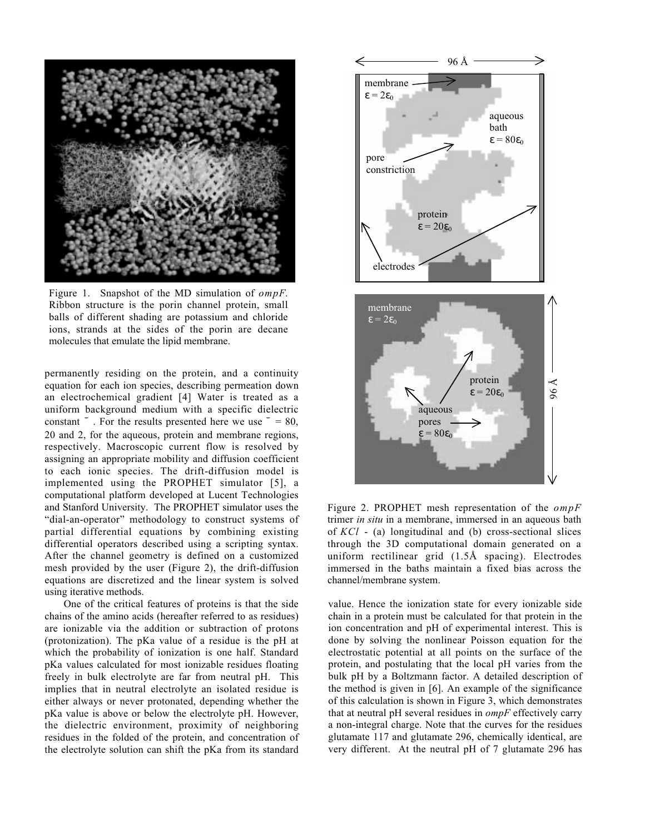

Figure 1. Snapshot of the MD simulation of *ompF*. Ribbon structure is the porin channel protein, small balls of different shading are potassium and chloride ions, strands at the sides of the porin are decane molecules that emulate the lipid membrane.

permanently residing on the protein, and a continuity equation for each ion species, describing permeation down an electrochemical gradient [4] Water is treated as a uniform background medium with a specific dielectric  $\frac{1}{2}$  . For the results presented here we use  $= 80$ , 20 and 2, for the aqueous, protein and membrane regions, respectively. Macroscopic current flow is resolved by assigning an appropriate mobility and diffusion coefficient to each ionic species. The drift-diffusion model is implemented using the PROPHET simulator [5], a computational platform developed at Lucent Technologies and Stanford University. The PROPHET simulator uses the "dial-an-operator" methodology to construct systems of partial differential equations by combining existing differential operators described using a scripting syntax. After the channel geometry is defined on a customized mesh provided by the user (Figure 2), the drift-diffusion equations are discretized and the linear system is solved using iterative methods.

One of the critical features of proteins is that the side chains of the amino acids (hereafter referred to as residues) are ionizable via the addition or subtraction of protons (protonization). The pKa value of a residue is the pH at which the probability of ionization is one half. Standard pKa values calculated for most ionizable residues floating freely in bulk electrolyte are far from neutral pH. This implies that in neutral electrolyte an isolated residue is either always or never protonated, depending whether the pKa value is above or below the electrolyte pH. However, the dielectric environment, proximity of neighboring residues in the folded of the protein, and concentration of the electrolyte solution can shift the pKa from its standard



Figure 2. PROPHET mesh representation of the *ompF* trimer *in situ* in a membrane, immersed in an aqueous bath of *KCl* - (a) longitudinal and (b) cross-sectional slices through the 3D computational domain generated on a uniform rectilinear grid (1.5Å spacing). Electrodes immersed in the baths maintain a fixed bias across the channel/membrane system.

value. Hence the ionization state for every ionizable side chain in a protein must be calculated for that protein in the ion concentration and pH of experimental interest. This is done by solving the nonlinear Poisson equation for the electrostatic potential at all points on the surface of the protein, and postulating that the local pH varies from the bulk pH by a Boltzmann factor. A detailed description of the method is given in [6]. An example of the significance of this calculation is shown in Figure 3, which demonstrates that at neutral pH several residues in *ompF* effectively carry a non-integral charge. Note that the curves for the residues glutamate 117 and glutamate 296, chemically identical, are very different. At the neutral pH of 7 glutamate 296 has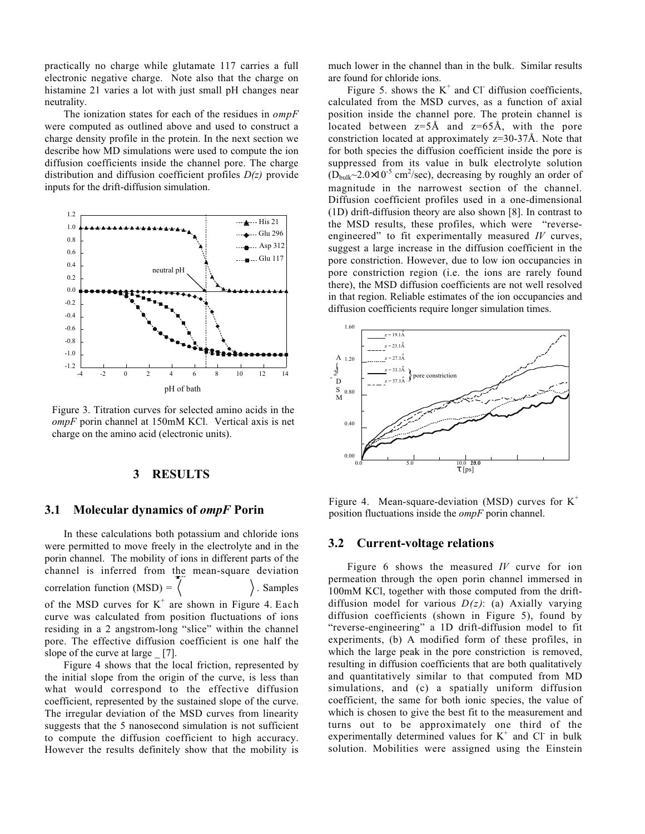practically no charge while glutamate 117 carries a full electronic negative charge. Note also that the charge on histamine 21 varies a lot with just small pH changes near neutrality.

The ionization states for each of the residues in *ompF* were computed as outlined above and used to construct a charge density profile in the protein. In the next section we describe how MD simulations were used to compute the ion diffusion coefficients inside the channel pore. The charge distribution and diffusion coefficient profiles *D(z)* provide inputs for the drift-diffusion simulation.



Figure 3. Titration curves for selected amino acids in the *ompF* porin channel at 150mM KCl. Vertical axis is net charge on the amino acid (electronic units).

## **3 RESULTS**

## **3.1 Molecular dynamics of** *ompF* **Porin**

In these calculations both potassium and chloride ions were permitted to move freely in the electrolyte and in the porin channel. The mobility of ions in different parts of the channel is inferred from the mean-square deviation correlation function  $(MSD) =$ . Samples of the MSD curves for  $K^+$  are shown in Figure 4. Each curve was calculated from position fluctuations of ions residing in a 2 angstrom-long "slice" within the channel pore. The effective diffusion coefficient is one half the slope of the curve at large [7].

Figure 4 shows that the local friction, represented by the initial slope from the origin of the curve, is less than what would correspond to the effective diffusion coefficient, represented by the sustained slope of the curve. The irregular deviation of the MSD curves from linearity suggests that the 5 nanosecond simulation is not sufficient to compute the diffusion coefficient to high accuracy. However the results definitely show that the mobility is much lower in the channel than in the bulk. Similar results are found for chloride ions.

Figure 5. shows the  $K^+$  and Cl diffusion coefficients, calculated from the MSD curves, as a function of axial position inside the channel pore. The protein channel is located between  $z=5\text{\AA}$  and  $z=65\text{\AA}$ , with the pore constriction located at approximately z=30-37Å. Note that for both species the diffusion coefficient inside the pore is suppressed from its value in bulk electrolyte solution  $(D_{\text{bulk}} \sim 2.0 \times 10^{-5} \text{ cm}^2/\text{sec})$ , decreasing by roughly an order of magnitude in the narrowest section of the channel. Diffusion coefficient profiles used in a one-dimensional (1D) drift-diffusion theory are also shown [8]. In contrast to the MSD results, these profiles, which were "reverseengineered" to fit experimentally measured *IV* curves, suggest a large increase in the diffusion coefficient in the pore constriction. However, due to low ion occupancies in pore constriction region (i.e. the ions are rarely found there), the MSD diffusion coefficients are not well resolved in that region. Reliable estimates of the ion occupancies and diffusion coefficients require longer simulation times.



Figure 4. Mean-square-deviation (MSD) curves for  $K^+$ position fluctuations inside the *ompF* porin channel.

#### **3.2 Current-voltage relations**

Figure 6 shows the measured *IV* curve for ion permeation through the open porin channel immersed in 100mM KCl, together with those computed from the driftdiffusion model for various *D(z)*: (a) Axially varying diffusion coefficients (shown in Figure 5), found by "reverse-engineering" a 1D drift-diffusion model to fit experiments, (b) A modified form of these profiles, in which the large peak in the pore constriction is removed, resulting in diffusion coefficients that are both qualitatively and quantitatively similar to that computed from MD simulations, and (c) a spatially uniform diffusion coefficient, the same for both ionic species, the value of which is chosen to give the best fit to the measurement and turns out to be approximately one third of the experimentally determined values for  $K^+$  and Cl<sup>-</sup> in bulk solution. Mobilities were assigned using the Einstein